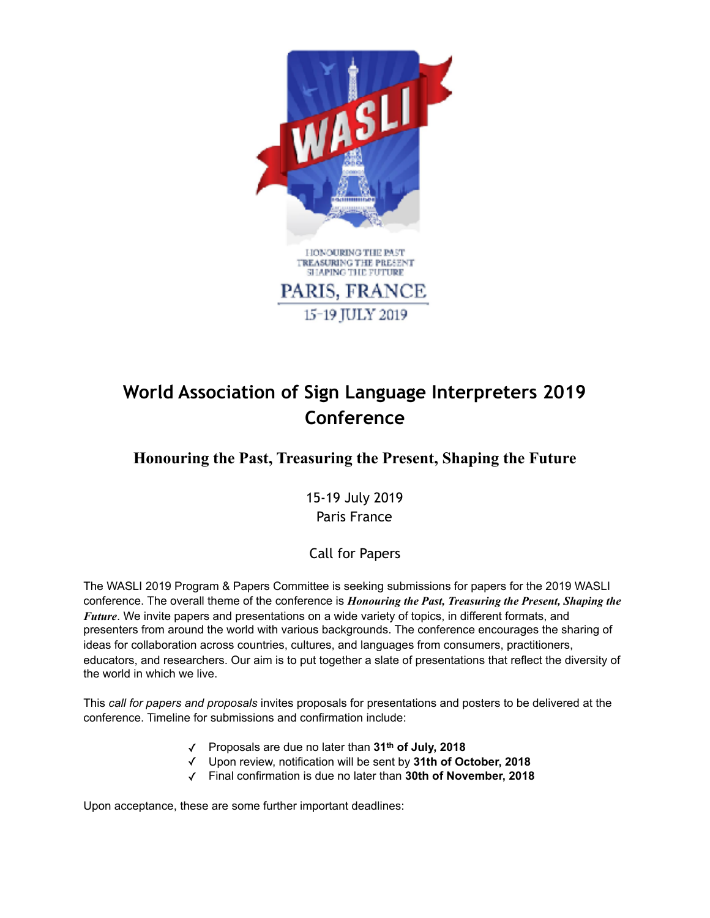

# **World Association of Sign Language Interpreters 2019 Conference**

## **Honouring the Past, Treasuring the Present, Shaping the Future**

15-19 July 2019 Paris France

## Call for Papers

The WASLI 2019 Program & Papers Committee is seeking submissions for papers for the 2019 WASLI conference. The overall theme of the conference is *Honouring the Past, Treasuring the Present, Shaping the Future*. We invite papers and presentations on a wide variety of topics, in different formats, and presenters from around the world with various backgrounds. The conference encourages the sharing of ideas for collaboration across countries, cultures, and languages from consumers, practitioners, educators, and researchers. Our aim is to put together a slate of presentations that reflect the diversity of the world in which we live.

This *call for papers and proposals* invites proposals for presentations and posters to be delivered at the conference. Timeline for submissions and confirmation include:

- ✓ Proposals are due no later than **31th of July, 2018**
- ✓ Upon review, notification will be sent by **31th of October, 2018**
- ✓ Final confirmation is due no later than **30th of November, 2018**

Upon acceptance, these are some further important deadlines: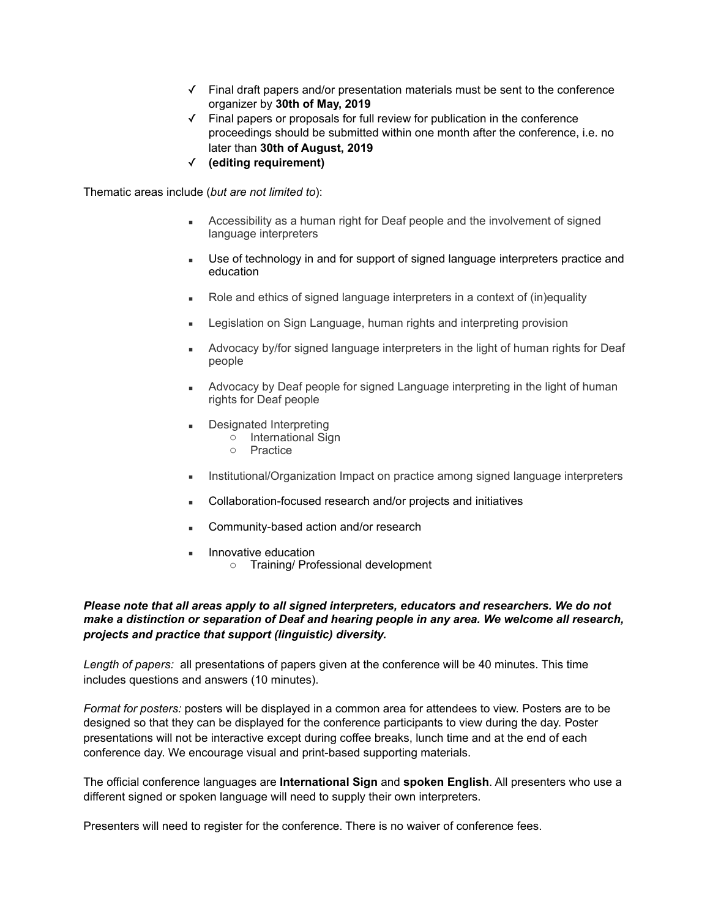- ✓ Final draft papers and/or presentation materials must be sent to the conference organizer by **30th of May, 2019**
- ✓ Final papers or proposals for full review for publication in the conference proceedings should be submitted within one month after the conference, i.e. no later than **30th of August, 2019**
- ✓ **(editing requirement)**

Thematic areas include (*but are not limited to*):

- **EXEC** Accessibility as a human right for Deaf people and the involvement of signed language interpreters
- **■** Use of technology in and for support of signed language interpreters practice and education
- Role and ethics of signed language interpreters in a context of (in)equality
- **EXECT** Legislation on Sign Language, human rights and interpreting provision
- Advocacy by/for signed language interpreters in the light of human rights for Deaf people
- **EXED** Advocacy by Deaf people for signed Language interpreting in the light of human rights for Deaf people
- Designated Interpreting
	- o International Sign
	- o Practice
- Institutional/Organization Impact on practice among signed language interpreters
- Collaboration-focused research and/or projects and initiatives
- Community-based action and/or research
- Innovative education o Training/ Professional development

### *Please note that all areas apply to all signed interpreters, educators and researchers. We do not make a distinction or separation of Deaf and hearing people in any area. We welcome all research, projects and practice that support (linguistic) diversity.*

*Length of papers:* all presentations of papers given at the conference will be 40 minutes. This time includes questions and answers (10 minutes).

*Format for posters:* posters will be displayed in a common area for attendees to view. Posters are to be designed so that they can be displayed for the conference participants to view during the day. Poster presentations will not be interactive except during coffee breaks, lunch time and at the end of each conference day. We encourage visual and print-based supporting materials.

The official conference languages are **International Sign** and **spoken English**. All presenters who use a different signed or spoken language will need to supply their own interpreters.

Presenters will need to register for the conference. There is no waiver of conference fees.